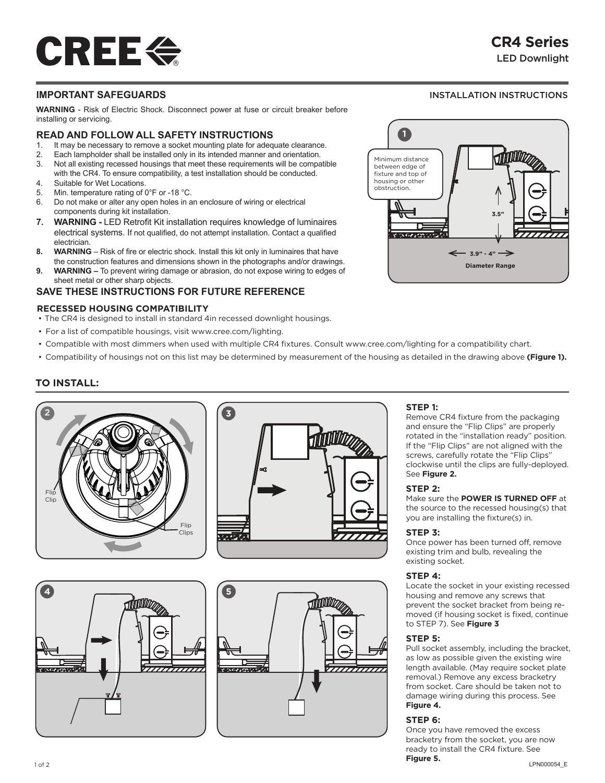

# **CR4 Series**

LED Downlight

### **IMPORTANT SAFEGUARDS**

**WARNING** - Risk of Electric Shock. Disconnect power at fuse or circuit breaker before installing or servicing.

# **READ AND FOLLOW ALL SAFETY INSTRUCTIONS**<br>1. It may be necessary to remove a socket mounting plate for adeq.

- 1. It may be necessary to remove a socket mounting plate for adequate clearance.<br>2. Each lampholder shall be installed only in its intended manner and orientation
- Each lampholder shall be installed only in its intended manner and orientation.
- 3. Not all existing recessed housings that meet these requirements will be compatible with the CR4. To ensure compatibility, a test installation should be conducted.
- 4. Suitable for Wet Locations.
- 5. Min. temperature rating of 0°F or -18 °C.
- 6. Do not make or alter any open holes in an enclosure of wiring or electrical components during kit installation.
- **7. WARNING** LED Retrofit Kit installation requires knowledge of luminaires electrical systems. If not qualified, do not attempt installation. Contact a qualified electrician.
- 8. **WARNING** Risk of fire or electric shock. Install this kit only in luminaires that have the construction features and dimensions shown in the photographs and/or drawings.
- **9. WARNING** To prevent wiring damage or abrasion, do not expose wiring to edges of sheet metal or other sharp objects.

### **SAVE THESE INSTRUCTIONS FOR FUTURE REFERENCE**

### **RECESSED HOUSING COMPATIBILITY**

- The CR4 is designed to install in standard 4in recessed downlight housings.
- For a list of compatible housings, visit www.cree.com/lighting.
- • Compatible with most dimmers when used with multiple CR4 fixtures. Consult www.cree.com/lighting for a compatibility chart.
- • Compatibility of housings not on this list may be determined by measurement of the housing as detailed in the drawing above **(Figure 1).**

### **TO INSTALL:**









### INSTALLATION INSTRUCTIONS



### **STEP 1:**

Remove CR4 fixture from the packaging and ensure the "Flip Clips" are properly rotated in the "installation ready" position. If the "Flip Clips" are not aligned with the screws, carefully rotate the "Flip Clips" clockwise until the clips are fully-deployed. See **Figure 2.**

### **STEP 2:**

Make sure the **POWER IS TURNED OFF** at the source to the recessed housing(s) that you are installing the fixture(s) in.

### **STEP 3:**

Once power has been turned off, remove existing trim and bulb, revealing the existing socket.

### **STEP 4:**

Locate the socket in your existing recessed housing and remove any screws that prevent the socket bracket from being removed (if housing socket is fixed, continue to STEP 7). See **Figure 3**

### **STEP 5:**

Pull socket assembly, including the bracket, as low as possible given the existing wire length available. (May require socket plate removal.) Remove any excess bracketry from socket. Care should be taken not to damage wiring during this process. See **Figure 4.**

### **STEP 6:**

Once you have removed the excess bracketry from the socket, you are now ready to install the CR4 fixture. See **Figure 5.**